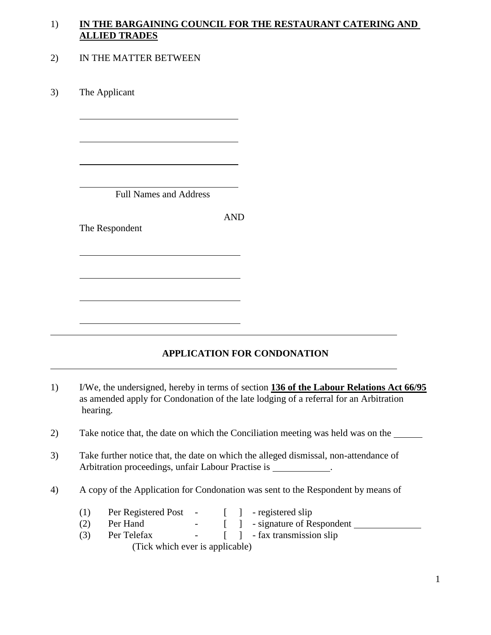## 1) **IN THE BARGAINING COUNCIL FOR THE RESTAURANT CATERING AND ALLIED TRADES**

### 2) IN THE MATTER BETWEEN

3) The Applicant

 $\overline{a}$ 

 $\overline{a}$ 

 $\overline{a}$ 

 $\overline{a}$ 

 $\overline{a}$ 

 $\overline{a}$ 

 $\overline{a}$ 

 $\overline{a}$ 

 $\overline{a}$ 

 $\overline{a}$ 

Full Names and Address

AND

The Respondent

# **APPLICATION FOR CONDONATION**

1) I/We, the undersigned, hereby in terms of section **136 of the Labour Relations Act 66/95** as amended apply for Condonation of the late lodging of a referral for an Arbitration hearing.

2) Take notice that, the date on which the Conciliation meeting was held was on the

- 3) Take further notice that, the date on which the alleged dismissal, non-attendance of Arbitration proceedings, unfair Labour Practise is \_\_\_\_\_\_\_\_\_\_\_.
- 4) A copy of the Application for Condonation was sent to the Respondent by means of
	- (1) Per Registered Post [ ] registered slip
	- (2) Per Hand [ ] signature of Respondent
	- (3) Per Telefax [ ] fax transmission slip (Tick which ever is applicable)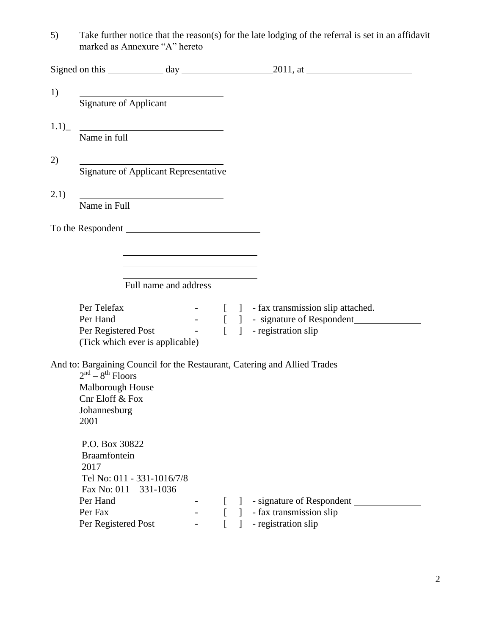5) Take further notice that the reason(s) for the late lodging of the referral is set in an affidavit marked as Annexure "A" hereto

| 1)   |                                                                                                                                      |                                                                                                                        |  |              |                                                                           |  |
|------|--------------------------------------------------------------------------------------------------------------------------------------|------------------------------------------------------------------------------------------------------------------------|--|--------------|---------------------------------------------------------------------------|--|
|      |                                                                                                                                      | Signature of Applicant                                                                                                 |  |              |                                                                           |  |
| 1.1) |                                                                                                                                      |                                                                                                                        |  |              |                                                                           |  |
|      | <u> Alexandria de la contrada de la contrada de la contrada de la contrada de la contrada de la contrada de la c</u><br>Name in full |                                                                                                                        |  |              |                                                                           |  |
|      |                                                                                                                                      |                                                                                                                        |  |              |                                                                           |  |
| 2)   | <b>Signature of Applicant Representative</b>                                                                                         |                                                                                                                        |  |              |                                                                           |  |
|      |                                                                                                                                      |                                                                                                                        |  |              |                                                                           |  |
| 2.1) | Name in Full                                                                                                                         |                                                                                                                        |  |              |                                                                           |  |
|      |                                                                                                                                      |                                                                                                                        |  |              |                                                                           |  |
|      |                                                                                                                                      |                                                                                                                        |  |              |                                                                           |  |
|      |                                                                                                                                      | <u> 1980 - Johann Barbara, martxa alemaniar a</u>                                                                      |  |              |                                                                           |  |
|      |                                                                                                                                      | <u> 1989 - Johann Stoff, deutscher Stoffen und der Stoffen und der Stoffen und der Stoffen und der Stoffen und der</u> |  |              |                                                                           |  |
|      |                                                                                                                                      |                                                                                                                        |  |              |                                                                           |  |
|      |                                                                                                                                      | Full name and address                                                                                                  |  |              |                                                                           |  |
|      | Per Telefax                                                                                                                          |                                                                                                                        |  |              | - [ ] - fax transmission slip attached.                                   |  |
|      | Per Hand                                                                                                                             |                                                                                                                        |  |              | - [ ] - signature of Respondent                                           |  |
|      |                                                                                                                                      | (Tick which ever is applicable)                                                                                        |  |              | Per Registered Post [ ] - registration slip                               |  |
|      |                                                                                                                                      |                                                                                                                        |  |              |                                                                           |  |
|      | $2nd - 8th$ Floors                                                                                                                   |                                                                                                                        |  |              | And to: Bargaining Council for the Restaurant, Catering and Allied Trades |  |
|      | Malborough House                                                                                                                     |                                                                                                                        |  |              |                                                                           |  |
|      | Cnr Eloff & Fox                                                                                                                      |                                                                                                                        |  |              |                                                                           |  |
|      | Johannesburg                                                                                                                         |                                                                                                                        |  |              |                                                                           |  |
|      | 2001                                                                                                                                 |                                                                                                                        |  |              |                                                                           |  |
|      | P.O. Box 30822                                                                                                                       |                                                                                                                        |  |              |                                                                           |  |
|      | Braamfontein                                                                                                                         |                                                                                                                        |  |              |                                                                           |  |
|      | 2017                                                                                                                                 |                                                                                                                        |  |              |                                                                           |  |
|      |                                                                                                                                      | Tel No: 011 - 331-1016/7/8                                                                                             |  |              |                                                                           |  |
|      |                                                                                                                                      | Fax No: $011 - 331 - 1036$                                                                                             |  |              |                                                                           |  |
|      | Per Hand                                                                                                                             |                                                                                                                        |  | $\mathbf{1}$ | - signature of Respondent                                                 |  |
|      | Per Fax                                                                                                                              |                                                                                                                        |  | $\mathbf{1}$ | - fax transmission slip                                                   |  |
|      | Per Registered Post                                                                                                                  |                                                                                                                        |  |              | - registration slip                                                       |  |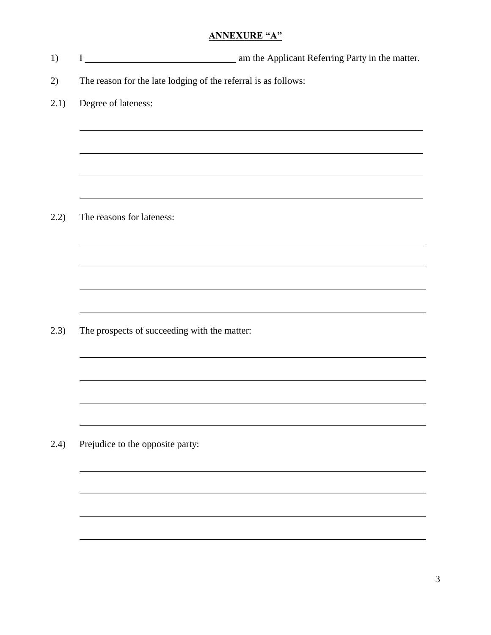### **ANNEXURE "A"**

1) I am the Applicant Referring Party in the matter. 2) The reason for the late lodging of the referral is as follows: 2.1) Degree of lateness:  $\overline{a}$  $\overline{a}$  $\overline{a}$  $\overline{a}$ 2.2) The reasons for lateness:  $\overline{a}$ l  $\overline{a}$ l 2.3) The prospects of succeeding with the matter: l  $\overline{a}$ l  $\overline{a}$ 2.4) Prejudice to the opposite party:  $\overline{a}$ 

l

l

l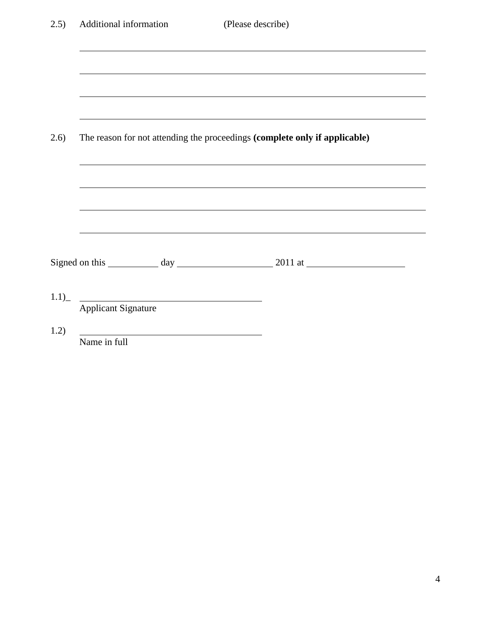| 2.5) | Additional information                                                                                                                                         | (Please describe) |  |  |  |
|------|----------------------------------------------------------------------------------------------------------------------------------------------------------------|-------------------|--|--|--|
|      |                                                                                                                                                                |                   |  |  |  |
| 2.6) | The reason for not attending the proceedings (complete only if applicable)<br>,我们也不会有什么。""我们的人,我们也不会有什么?""我们的人,我们也不会有什么?""我们的人,我们也不会有什么?""我们的人,我们也不会有什么?""我们的人 |                   |  |  |  |
|      |                                                                                                                                                                |                   |  |  |  |
|      |                                                                                                                                                                |                   |  |  |  |
|      | 1.1) Applicant Signature                                                                                                                                       |                   |  |  |  |
| 1.2) | Name in full                                                                                                                                                   |                   |  |  |  |